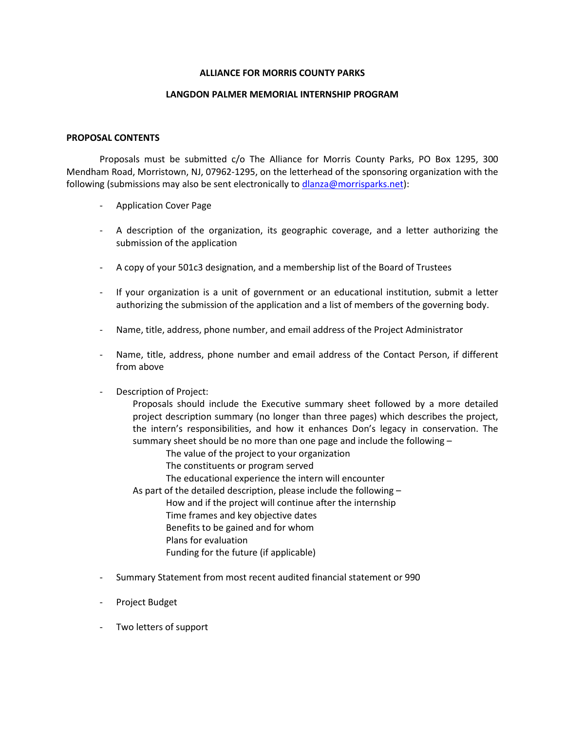### **ALLIANCE FOR MORRIS COUNTY PARKS**

#### **LANGDON PALMER MEMORIAL INTERNSHIP PROGRAM**

### **PROPOSAL CONTENTS**

Proposals must be submitted c/o The Alliance for Morris County Parks, PO Box 1295, 300 Mendham Road, Morristown, NJ, 07962-1295, on the letterhead of the sponsoring organization with the following (submissions may also be sent electronically to [dlanza@morrisparks.net\)](mailto:dlanza@morrisparks.net):

- Application Cover Page
- A description of the organization, its geographic coverage, and a letter authorizing the submission of the application
- A copy of your 501c3 designation, and a membership list of the Board of Trustees
- If your organization is a unit of government or an educational institution, submit a letter authorizing the submission of the application and a list of members of the governing body.
- Name, title, address, phone number, and email address of the Project Administrator
- Name, title, address, phone number and email address of the Contact Person, if different from above
- Description of Project:

Proposals should include the Executive summary sheet followed by a more detailed project description summary (no longer than three pages) which describes the project, the intern's responsibilities, and how it enhances Don's legacy in conservation. The summary sheet should be no more than one page and include the following –

The value of the project to your organization

- The constituents or program served
- The educational experience the intern will encounter

As part of the detailed description, please include the following –

- How and if the project will continue after the internship
	- Time frames and key objective dates
	- Benefits to be gained and for whom
	- Plans for evaluation
	- Funding for the future (if applicable)
- Summary Statement from most recent audited financial statement or 990
- Project Budget
- Two letters of support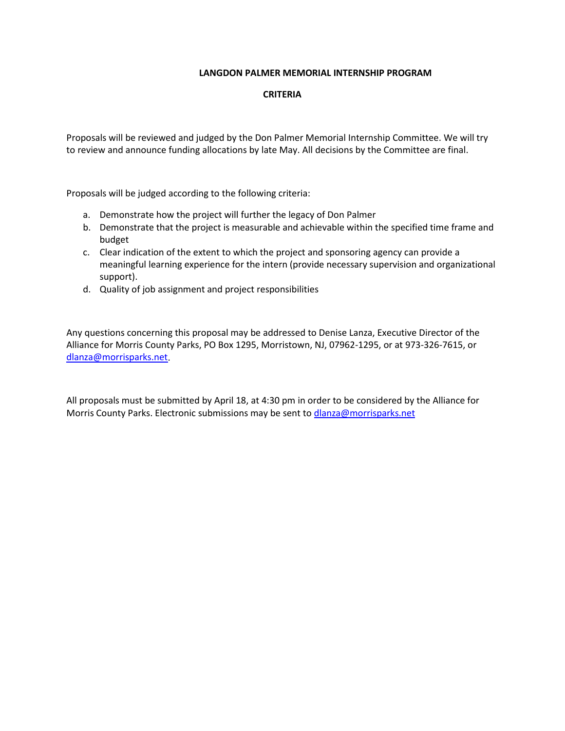## **LANGDON PALMER MEMORIAL INTERNSHIP PROGRAM**

## **CRITERIA**

Proposals will be reviewed and judged by the Don Palmer Memorial Internship Committee. We will try to review and announce funding allocations by late May. All decisions by the Committee are final.

Proposals will be judged according to the following criteria:

- a. Demonstrate how the project will further the legacy of Don Palmer
- b. Demonstrate that the project is measurable and achievable within the specified time frame and budget
- c. Clear indication of the extent to which the project and sponsoring agency can provide a meaningful learning experience for the intern (provide necessary supervision and organizational support).
- d. Quality of job assignment and project responsibilities

Any questions concerning this proposal may be addressed to Denise Lanza, Executive Director of the Alliance for Morris County Parks, PO Box 1295, Morristown, NJ, 07962-1295, or at 973-326-7615, or [dlanza@morrisparks.net.](mailto:dlanza@morrisparks.net)

All proposals must be submitted by April 18, at 4:30 pm in order to be considered by the Alliance for Morris County Parks. Electronic submissions may be sent to [dlanza@morrisparks.net](mailto:dlanza@morrisparks.net)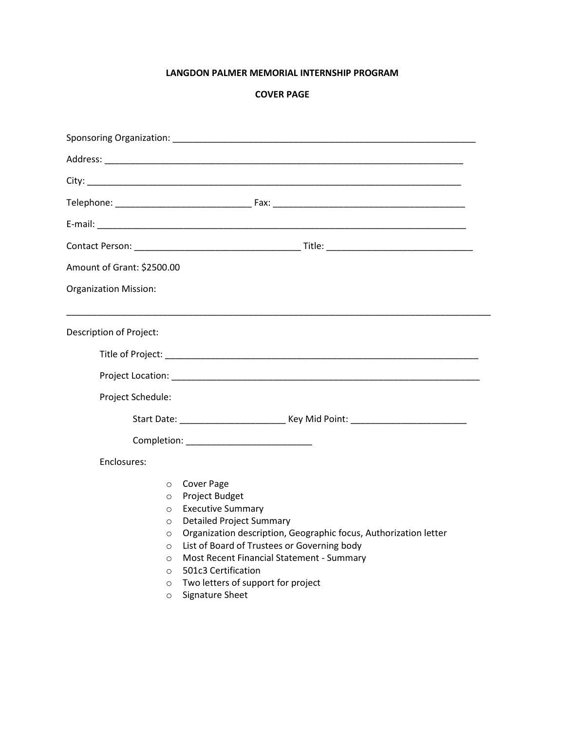# **LANGDON PALMER MEMORIAL INTERNSHIP PROGRAM**

# **COVER PAGE**

| Amount of Grant: \$2500.00                                                                                 |                                                                                                                                                                                                                                                                                                                                                    |  |  |
|------------------------------------------------------------------------------------------------------------|----------------------------------------------------------------------------------------------------------------------------------------------------------------------------------------------------------------------------------------------------------------------------------------------------------------------------------------------------|--|--|
| <b>Organization Mission:</b>                                                                               |                                                                                                                                                                                                                                                                                                                                                    |  |  |
| Description of Project:                                                                                    |                                                                                                                                                                                                                                                                                                                                                    |  |  |
|                                                                                                            |                                                                                                                                                                                                                                                                                                                                                    |  |  |
| Project Schedule:                                                                                          |                                                                                                                                                                                                                                                                                                                                                    |  |  |
|                                                                                                            | Start Date: ________________________________ Key Mid Point: _____________________                                                                                                                                                                                                                                                                  |  |  |
|                                                                                                            |                                                                                                                                                                                                                                                                                                                                                    |  |  |
| Enclosures:                                                                                                |                                                                                                                                                                                                                                                                                                                                                    |  |  |
| $\circ$<br>$\circ$<br>$\circ$<br>$\circ$<br>$\circ$<br>$\circ$<br>$\circ$<br>$\circ$<br>$\circ$<br>$\circ$ | <b>Cover Page</b><br>Project Budget<br><b>Executive Summary</b><br><b>Detailed Project Summary</b><br>Organization description, Geographic focus, Authorization letter<br>List of Board of Trustees or Governing body<br>Most Recent Financial Statement - Summary<br>501c3 Certification<br>Two letters of support for project<br>Signature Sheet |  |  |